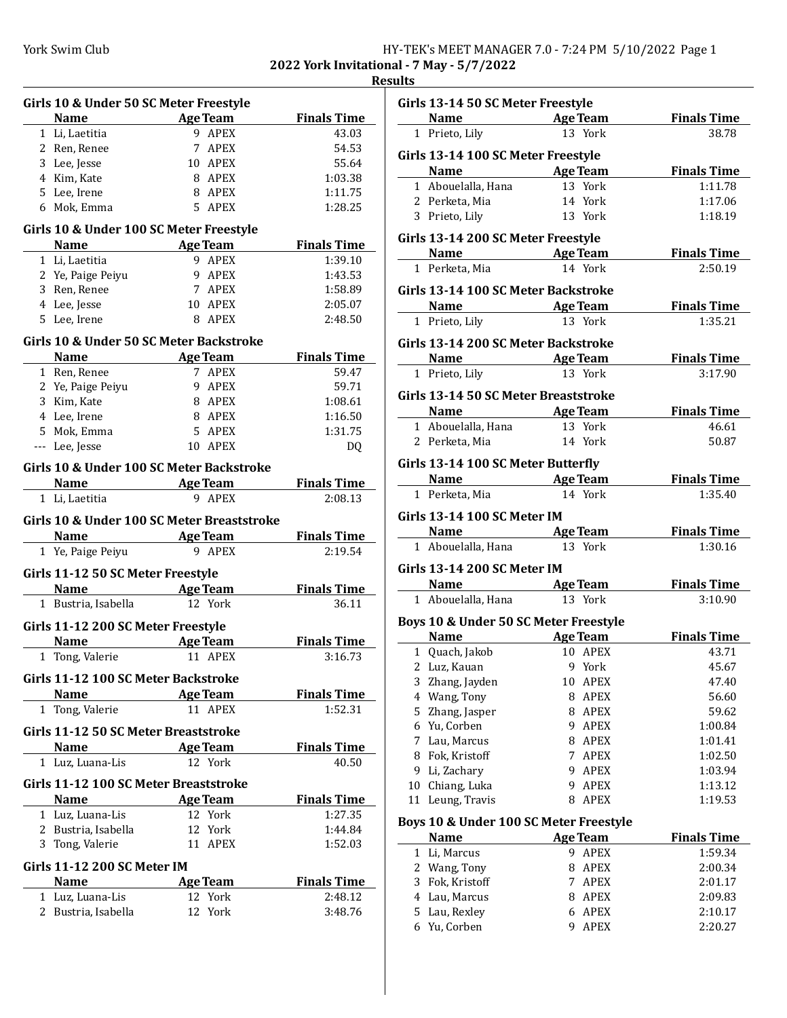**2022 York Invitational - 7 May - 5/7/2022**

| Girls 10 & Under 50 SC Meter Freestyle     |                                     |                    |
|--------------------------------------------|-------------------------------------|--------------------|
| <b>Name</b>                                | <b>Age Team</b>                     | <b>Finals Time</b> |
| 1 Li, Laetitia                             | 9 APEX                              | 43.03              |
| 2 Ren, Renee                               | 7 APEX                              | 54.53              |
| 3 Lee, Jesse                               | 10 APEX                             | 55.64              |
| 4 Kim, Kate                                | 8 APEX                              | 1:03.38            |
| 5 Lee, Irene                               | 8 APEX                              | 1:11.75            |
| 6 Mok, Emma                                | 5 APEX                              | 1:28.25            |
| Girls 10 & Under 100 SC Meter Freestyle    |                                     |                    |
| <b>Name</b>                                | Age Team                            | <b>Finals Time</b> |
| 1 Li, Laetitia                             | 9 APEX                              | 1:39.10            |
| 2 Ye, Paige Peiyu                          | 9 APEX                              | 1:43.53            |
| 3 Ren, Renee                               | 7 APEX                              | 1:58.89            |
| 4 Lee, Jesse                               | 10 APEX                             | 2:05.07            |
| 5 Lee, Irene                               | 8 APEX                              | 2:48.50            |
| Girls 10 & Under 50 SC Meter Backstroke    |                                     |                    |
|                                            | Name Age Team                       | <b>Finals Time</b> |
| 1 Ren, Renee                               | 7 APEX                              | 59.47              |
| 2 Ye, Paige Peiyu                          | 9 APEX                              | 59.71              |
| 3 Kim, Kate                                | 8 APEX                              | 1:08.61            |
| 4 Lee, Irene                               | 8 APEX                              | 1:16.50            |
| 5 Mok, Emma                                | 5 APEX                              | 1:31.75            |
| --- Lee, Jesse                             | 10 APEX                             | DQ                 |
|                                            |                                     |                    |
| Girls 10 & Under 100 SC Meter Backstroke   |                                     |                    |
| Name                                       | <b>Example 2 Age Team</b><br>9 APEX | <b>Finals Time</b> |
| 1 Li, Laetitia                             |                                     | 2:08.13            |
| Girls 10 & Under 100 SC Meter Breaststroke |                                     |                    |
| <b>Name</b>                                | <b>Age Team</b>                     | <b>Finals Time</b> |
| 1 Ye, Paige Peiyu                          | 9 APEX                              | 2:19.54            |
| Girls 11-12 50 SC Meter Freestyle          |                                     |                    |
| <b>Name</b>                                | <b>Example 2 Age Team</b>           | <b>Finals Time</b> |
| 1 Bustria, Isabella                        | 12 York                             | 36.11              |
| Girls 11-12 200 SC Meter Freestyle         |                                     |                    |
| <b>Name</b>                                | <b>Age Team</b>                     | <b>Finals Time</b> |
| 1 Tong, Valerie                            | 11 APEX                             | 3:16.73            |
| Girls 11-12 100 SC Meter Backstroke        |                                     |                    |
| Name Age Team                              |                                     | <b>Finals Time</b> |
| 1 Tong, Valerie                            | 11 APEX                             | 1:52.31            |
|                                            |                                     |                    |
| Girls 11-12 50 SC Meter Breaststroke       |                                     |                    |
| Name                                       | <b>Example 2</b> Age Team           | <b>Finals Time</b> |
| 1 Luz, Luana-Lis                           | 12 York                             | 40.50              |
| Girls 11-12 100 SC Meter Breaststroke      |                                     |                    |
| Name                                       | <b>Age Team</b>                     | <b>Finals Time</b> |
| 1 Luz, Luana-Lis                           | 12 York                             | 1:27.35            |
| 2 Bustria, Isabella                        | 12 York                             | 1:44.84            |
| 3 Tong, Valerie                            | 11 APEX                             | 1:52.03            |
| <b>Girls 11-12 200 SC Meter IM</b>         |                                     |                    |
| <b>Name</b>                                | <b>Age Team</b>                     | <b>Finals Time</b> |
| 1 Luz, Luana-Lis                           | 12 York                             | 2:48.12            |
| 2 Bustria, Isabella                        | 12 York                             | 3:48.76            |
|                                            |                                     |                    |

|    | Girls 13-14 50 SC Meter Freestyle          |                                        |                               |
|----|--------------------------------------------|----------------------------------------|-------------------------------|
|    |                                            | <b>Name Age Team</b>                   | <b>Finals Time</b>            |
|    | 1 Prieto, Lily                             | 13 York                                | 38.78                         |
|    | Girls 13-14 100 SC Meter Freestyle         |                                        |                               |
|    | Name                                       | <b>Example 2</b> Age Team              | <b>Finals Time</b>            |
|    | 1 Abouelalla, Hana                         | 13 York                                | 1:11.78                       |
|    | 2 Perketa, Mia                             | 14 York                                | 1:17.06                       |
|    | 3 Prieto, Lily                             | 13 York                                | 1:18.19                       |
|    | Girls 13-14 200 SC Meter Freestyle         |                                        |                               |
|    | <b>Name Age Team</b>                       |                                        | <b>Finals Time</b>            |
|    | 1 Perketa, Mia                             | 14 York                                | 2:50.19                       |
|    | Girls 13-14 100 SC Meter Backstroke        |                                        |                               |
|    |                                            |                                        |                               |
|    | Name Age Team                              | 13 York                                | <b>Finals Time</b><br>1:35.21 |
|    | 1 Prieto, Lily                             |                                        |                               |
|    | Girls 13-14 200 SC Meter Backstroke        |                                        |                               |
|    | <b>Name Age Team</b>                       |                                        | <b>Finals Time</b>            |
|    | 1 Prieto, Lily                             | 13 York                                | 3:17.90                       |
|    | Girls 13-14 50 SC Meter Breaststroke       |                                        |                               |
|    |                                            | <b>Name Age Team</b>                   | <b>Finals Time</b>            |
|    | 1 Abouelalla, Hana 13 York                 |                                        | 46.61                         |
|    | 2 Perketa, Mia                             | 14 York                                | 50.87                         |
|    | Girls 13-14 100 SC Meter Butterfly         |                                        |                               |
|    | <b>Name Age Team</b>                       |                                        | <b>Finals Time</b>            |
|    | 1 Perketa, Mia                             | 14 York                                | 1:35.40                       |
|    |                                            |                                        |                               |
|    | <b>Girls 13-14 100 SC Meter IM</b>         |                                        |                               |
|    | <b>Name Age Team</b><br>1 Abouelalla, Hana | 13 York                                | <b>Finals Time</b><br>1:30.16 |
|    |                                            |                                        |                               |
|    | <b>Girls 13-14 200 SC Meter IM</b>         |                                        |                               |
|    | Name Age Team                              |                                        | <b>Finals Time</b>            |
|    | 1 Abouelalla, Hana                         | 13 York                                | 3:10.90                       |
|    |                                            | Boys 10 & Under 50 SC Meter Freestyle  |                               |
|    | Name                                       | <b>Age Team</b>                        | <b>Finals Time</b>            |
|    | 1 Quach, Jakob                             | 10 APEX                                | 43.71                         |
|    | 2 Luz, Kauan                               | 9 York                                 | 45.67                         |
| 3  | Zhang, Jayden                              | 10 APEX                                | 47.40                         |
|    | 4 Wang, Tony                               | APEX<br>8                              | 56.60                         |
| 5  | Zhang, Jasper                              | APEX<br>8                              | 59.62                         |
| 6  | Yu, Corben                                 | <b>APEX</b><br>9                       | 1:00.84                       |
| 7  | Lau, Marcus                                | <b>APEX</b><br>8                       | 1:01.41                       |
| 8  | Fok, Kristoff                              | 7<br>APEX                              | 1:02.50                       |
| 9  | Li, Zachary                                | 9<br><b>APEX</b>                       | 1:03.94                       |
| 10 | Chiang, Luka                               | <b>APEX</b><br>9                       | 1:13.12                       |
| 11 | Leung, Travis                              | APEX<br>8                              | 1:19.53                       |
|    |                                            | Boys 10 & Under 100 SC Meter Freestyle |                               |
|    | <b>Name</b>                                | <b>Age Team</b>                        | <b>Finals Time</b>            |
| 1  | Li, Marcus                                 | 9<br>APEX                              | 1:59.34                       |
|    | 2 Wang, Tony                               | 8<br>APEX                              | 2:00.34                       |
| 3  | Fok, Kristoff                              | 7<br>APEX                              | 2:01.17                       |
| 4  | Lau, Marcus                                | APEX<br>8                              | 2:09.83                       |
| 5  | Lau, Rexley                                | <b>APEX</b><br>6                       | 2:10.17                       |
|    | 6 Yu, Corben                               | 9<br><b>APEX</b>                       | 2:20.27                       |
|    |                                            |                                        |                               |